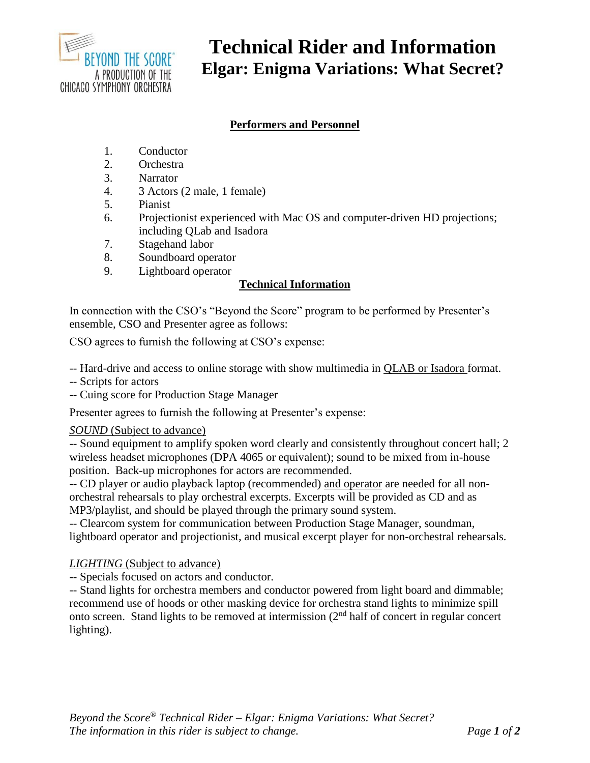

# **Technical Rider and Information Elgar: Enigma Variations: What Secret?**

## **Performers and Personnel**

- 1. Conductor
- 2. Orchestra
- 3. Narrator
- 4. 3 Actors (2 male, 1 female)
- 5. Pianist
- 6. Projectionist experienced with Mac OS and computer-driven HD projections; including QLab and Isadora
- 7. Stagehand labor
- 8. Soundboard operator
- 9. Lightboard operator

## **Technical Information**

In connection with the CSO's "Beyond the Score" program to be performed by Presenter's ensemble, CSO and Presenter agree as follows:

CSO agrees to furnish the following at CSO's expense:

-- Hard-drive and access to online storage with show multimedia in QLAB or Isadora format.

- -- Scripts for actors
- -- Cuing score for Production Stage Manager

Presenter agrees to furnish the following at Presenter's expense:

### *SOUND* (Subject to advance)

-- Sound equipment to amplify spoken word clearly and consistently throughout concert hall; 2 wireless headset microphones (DPA 4065 or equivalent); sound to be mixed from in-house position. Back-up microphones for actors are recommended.

-- CD player or audio playback laptop (recommended) and operator are needed for all nonorchestral rehearsals to play orchestral excerpts. Excerpts will be provided as CD and as MP3/playlist, and should be played through the primary sound system.

-- Clearcom system for communication between Production Stage Manager, soundman, lightboard operator and projectionist, and musical excerpt player for non-orchestral rehearsals.

### *LIGHTING* (Subject to advance)

-- Specials focused on actors and conductor.

-- Stand lights for orchestra members and conductor powered from light board and dimmable; recommend use of hoods or other masking device for orchestra stand lights to minimize spill onto screen. Stand lights to be removed at intermission (2nd half of concert in regular concert lighting).